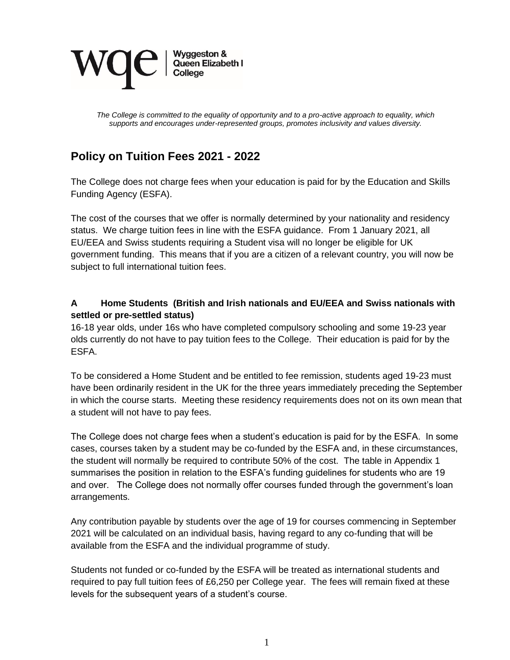

*The College is committed to the equality of opportunity and to a pro-active approach to equality, which supports and encourages under-represented groups, promotes inclusivity and values diversity.* 

# **Policy on Tuition Fees 2021 - 2022**

The College does not charge fees when your education is paid for by the Education and Skills Funding Agency (ESFA).

The cost of the courses that we offer is normally determined by your nationality and residency status. We charge tuition fees in line with the ESFA guidance. From 1 January 2021, all EU/EEA and Swiss students requiring a Student visa will no longer be eligible for UK government funding. This means that if you are a citizen of a relevant country, you will now be subject to full international tuition fees.

#### **A Home Students (British and Irish nationals and EU/EEA and Swiss nationals with settled or pre-settled status)**

16-18 year olds, under 16s who have completed compulsory schooling and some 19-23 year olds currently do not have to pay tuition fees to the College. Their education is paid for by the ESFA.

To be considered a Home Student and be entitled to fee remission, students aged 19-23 must have been ordinarily resident in the UK for the three years immediately preceding the September in which the course starts. Meeting these residency requirements does not on its own mean that a student will not have to pay fees.

The College does not charge fees when a student's education is paid for by the ESFA. In some cases, courses taken by a student may be co-funded by the ESFA and, in these circumstances, the student will normally be required to contribute 50% of the cost. The table in Appendix 1 summarises the position in relation to the ESFA's funding guidelines for students who are 19 and over. The College does not normally offer courses funded through the government's loan arrangements.

Any contribution payable by students over the age of 19 for courses commencing in September 2021 will be calculated on an individual basis, having regard to any co-funding that will be available from the ESFA and the individual programme of study.

Students not funded or co-funded by the ESFA will be treated as international students and required to pay full tuition fees of £6,250 per College year. The fees will remain fixed at these levels for the subsequent years of a student's course.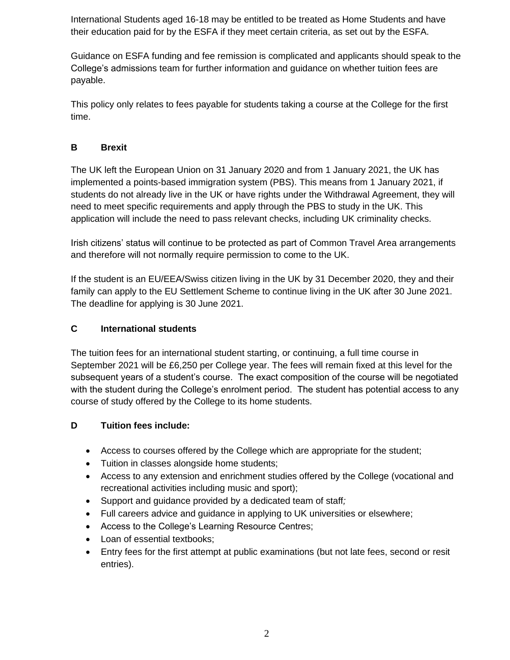International Students aged 16-18 may be entitled to be treated as Home Students and have their education paid for by the ESFA if they meet certain criteria, as set out by the ESFA.

Guidance on ESFA funding and fee remission is complicated and applicants should speak to the College's admissions team for further information and guidance on whether tuition fees are payable.

This policy only relates to fees payable for students taking a course at the College for the first time.

# **B Brexit**

The UK left the European Union on 31 January 2020 and from 1 January 2021, the UK has implemented a points-based immigration system (PBS). This means from 1 January 2021, if students do not already live in the UK or have rights under the Withdrawal Agreement, they will need to meet specific requirements and apply through the PBS to study in the UK. This application will include the need to pass relevant checks, including UK criminality checks.

Irish citizens' status will continue to be protected as part of Common Travel Area arrangements and therefore will not normally require permission to come to the UK.

If the student is an EU/EEA/Swiss citizen living in the UK by 31 December 2020, they and their family can apply to the EU Settlement Scheme to continue living in the UK after 30 June 2021. The deadline for applying is 30 June 2021.

## **C International students**

The tuition fees for an international student starting, or continuing, a full time course in September 2021 will be £6,250 per College year. The fees will remain fixed at this level for the subsequent years of a student's course. The exact composition of the course will be negotiated with the student during the College's enrolment period. The student has potential access to any course of study offered by the College to its home students.

#### **D Tuition fees include:**

- Access to courses offered by the College which are appropriate for the student;
- Tuition in classes alongside home students;
- Access to any extension and enrichment studies offered by the College (vocational and recreational activities including music and sport);
- Support and guidance provided by a dedicated team of staff*;*
- Full careers advice and guidance in applying to UK universities or elsewhere;
- Access to the College's Learning Resource Centres;
- Loan of essential textbooks;
- Entry fees for the first attempt at public examinations (but not late fees, second or resit entries).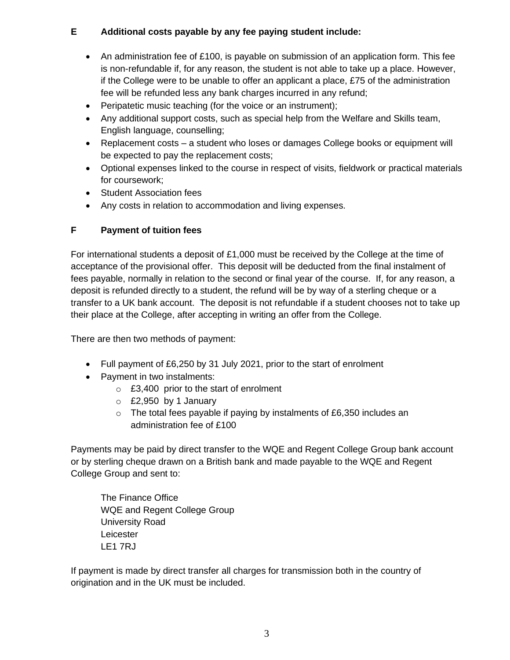#### **E Additional costs payable by any fee paying student include:**

- An administration fee of £100, is payable on submission of an application form. This fee is non-refundable if, for any reason, the student is not able to take up a place. However, if the College were to be unable to offer an applicant a place, £75 of the administration fee will be refunded less any bank charges incurred in any refund;
- Peripatetic music teaching (for the voice or an instrument);
- Any additional support costs, such as special help from the Welfare and Skills team, English language, counselling;
- Replacement costs a student who loses or damages College books or equipment will be expected to pay the replacement costs;
- Optional expenses linked to the course in respect of visits, fieldwork or practical materials for coursework;
- Student Association fees
- Any costs in relation to accommodation and living expenses.

## **F Payment of tuition fees**

For international students a deposit of £1,000 must be received by the College at the time of acceptance of the provisional offer. This deposit will be deducted from the final instalment of fees payable, normally in relation to the second or final year of the course. If, for any reason, a deposit is refunded directly to a student, the refund will be by way of a sterling cheque or a transfer to a UK bank account. The deposit is not refundable if a student chooses not to take up their place at the College, after accepting in writing an offer from the College.

There are then two methods of payment:

- Full payment of £6,250 by 31 July 2021, prior to the start of enrolment
- Payment in two instalments:
	- $\circ$  £3.400 prior to the start of enrolment
	- o £2,950 by 1 January
	- o The total fees payable if paying by instalments of £6,350 includes an administration fee of £100

Payments may be paid by direct transfer to the WQE and Regent College Group bank account or by sterling cheque drawn on a British bank and made payable to the WQE and Regent College Group and sent to:

The Finance Office WQE and Regent College Group University Road Leicester LE1 7RJ

If payment is made by direct transfer all charges for transmission both in the country of origination and in the UK must be included.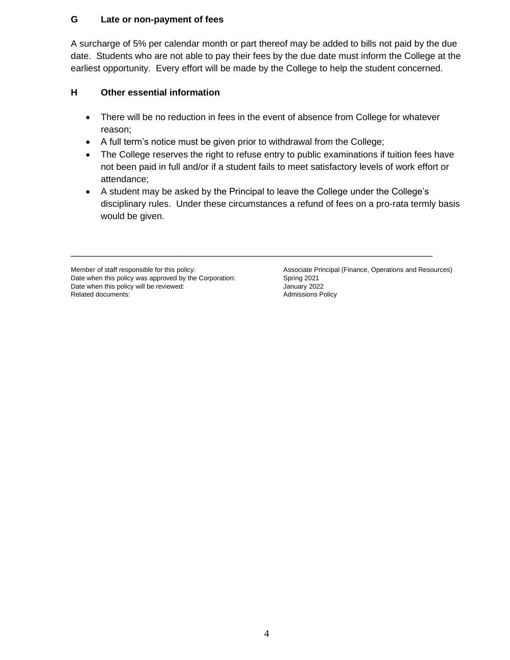#### **G Late or non-payment of fees**

A surcharge of 5% per calendar month or part thereof may be added to bills not paid by the due date. Students who are not able to pay their fees by the due date must inform the College at the earliest opportunity. Every effort will be made by the College to help the student concerned.

#### **H Other essential information**

- There will be no reduction in fees in the event of absence from College for whatever reason;
- A full term's notice must be given prior to withdrawal from the College;
- The College reserves the right to refuse entry to public examinations if tuition fees have not been paid in full and/or if a student fails to meet satisfactory levels of work effort or attendance;
- A student may be asked by the Principal to leave the College under the College's disciplinary rules. Under these circumstances a refund of fees on a pro-rata termly basis would be given.

\_\_\_\_\_\_\_\_\_\_\_\_\_\_\_\_\_\_\_\_\_\_\_\_\_\_\_\_\_\_\_\_\_\_\_\_\_\_\_\_\_\_\_\_\_\_\_\_\_\_\_\_\_\_\_\_\_\_\_\_\_\_\_\_\_\_\_\_\_\_\_

Date when this policy was approved by the Corporation: Spring 2021<br>Date when this policy will be reviewed: January 2022 Date when this policy will be reviewed:<br>
Related documents:<br>
Admissions Policy Related documents:

Member of staff responsible for this policy: Associate Principal (Finance, Operations and Resources)